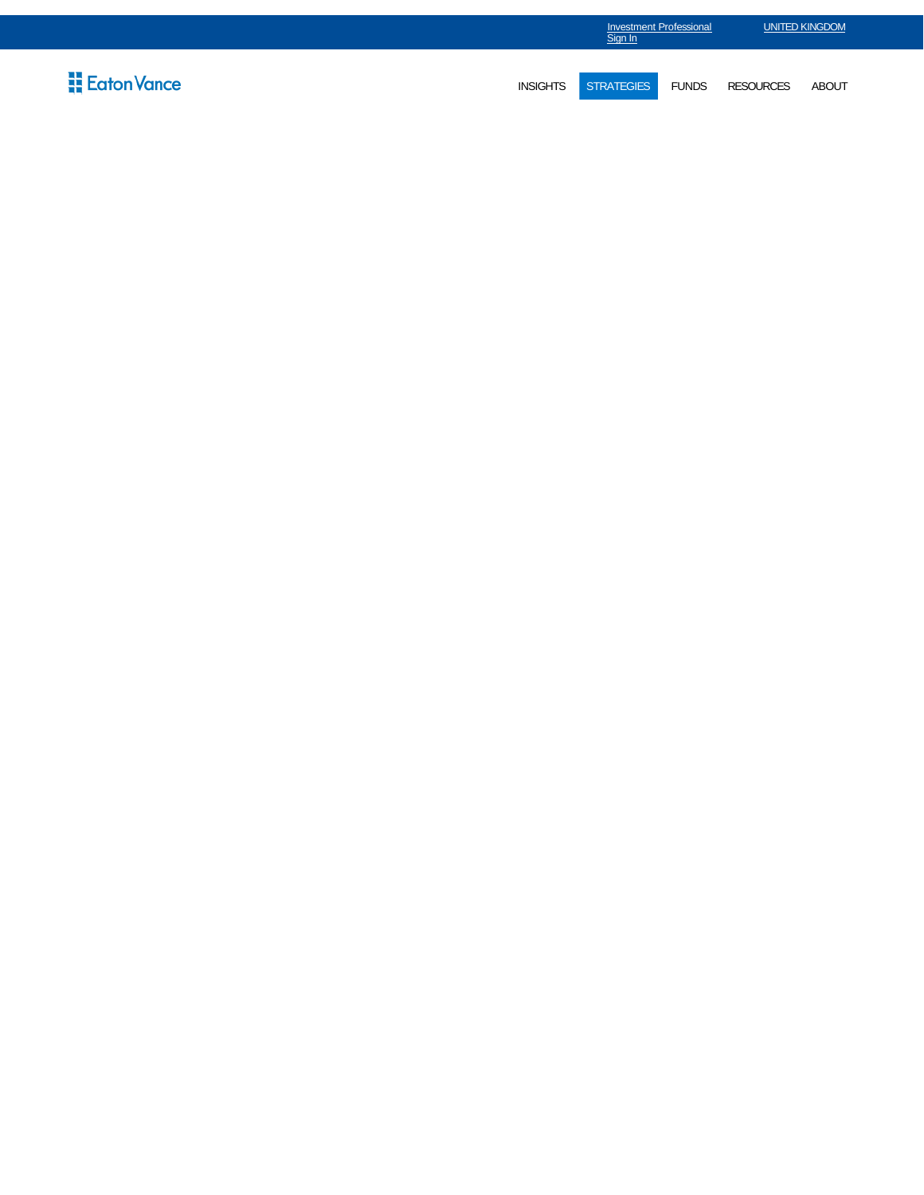|                             | <b>Investment Professional</b><br>Sign In |                   |              | <b>UNITED KINGDOM</b> |              |  |
|-----------------------------|-------------------------------------------|-------------------|--------------|-----------------------|--------------|--|
| $\frac{11}{11}$ Eaton Vance | <b>INSIGHTS</b>                           | <b>STRATEGIES</b> | <b>FUNDS</b> | <b>RESOURCES</b>      | <b>ABOUT</b> |  |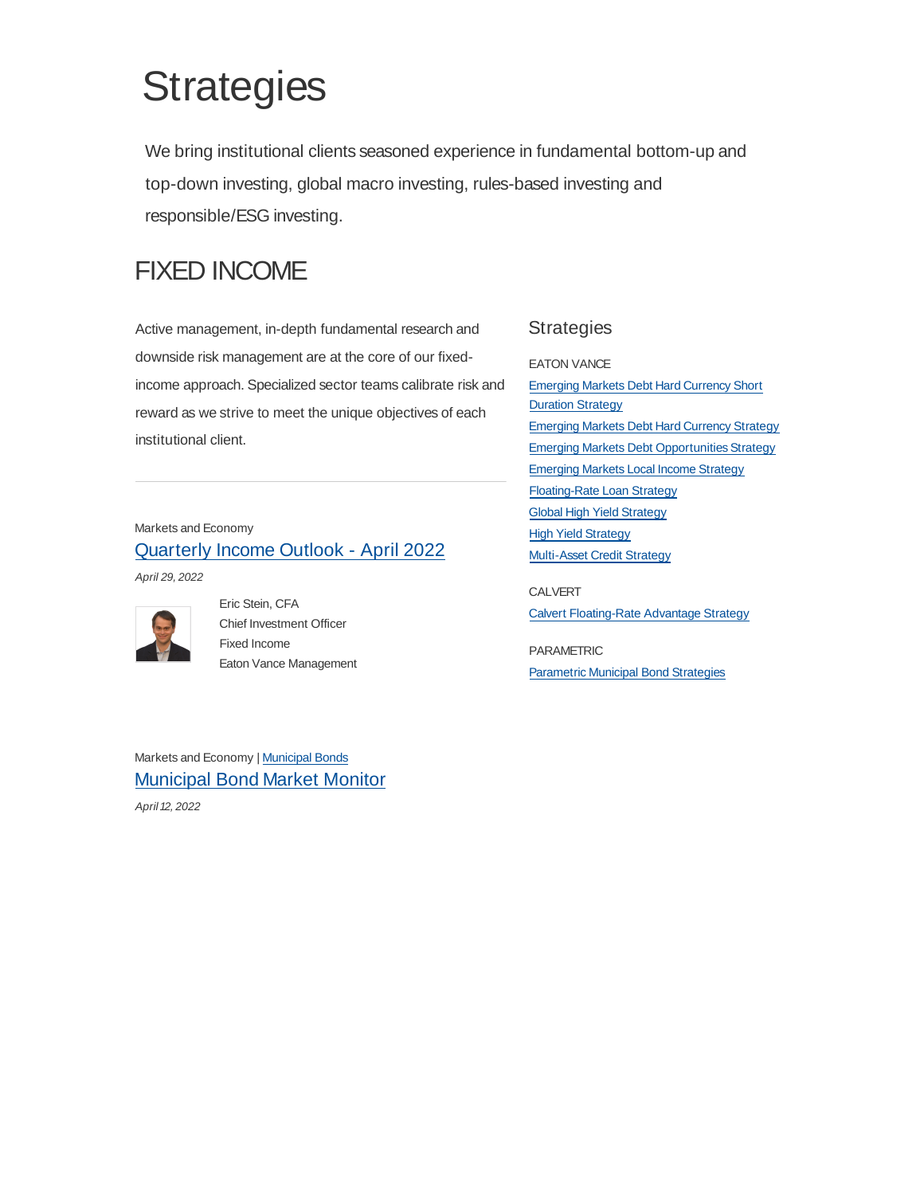# **Strategies**

We bring institutional clients seasoned experience in fundamental bottom-up and top-down investing, global macro investing, rules-based investing and responsible/ESG investing.

# FIXED INCOME

Active management, in-depth fundamental research and downside risk management are at the core of our fixedincome approach. Specialized sector teams calibrate risk and reward as we strive to meet the unique objectives of each institutional client.

### Markets and Economy Quarterly Income Outlook - April 2022

April 29, 2022



Eric Stein, CFA Chief Investment Officer Fixed Income Eaton Vance Management

### **Strategies**

EATON VANCE

Emerging Markets Debt Hard Currency Short Duration Strategy Emerging Markets Debt Hard Currency Strategy Emerging Markets Debt Opportunities Strategy Emerging Markets Local Income Strategy Floating-Rate Loan Strategy Global High Yield Strategy High Yield Strategy Multi-Asset Credit Strategy

CALVERT Calvert Floating-Rate Advantage Strategy

PARAMETRIC Parametric Municipal Bond Strategies

Markets and Economy | Municipal Bonds Municipal Bond Market Monitor April 12, 2022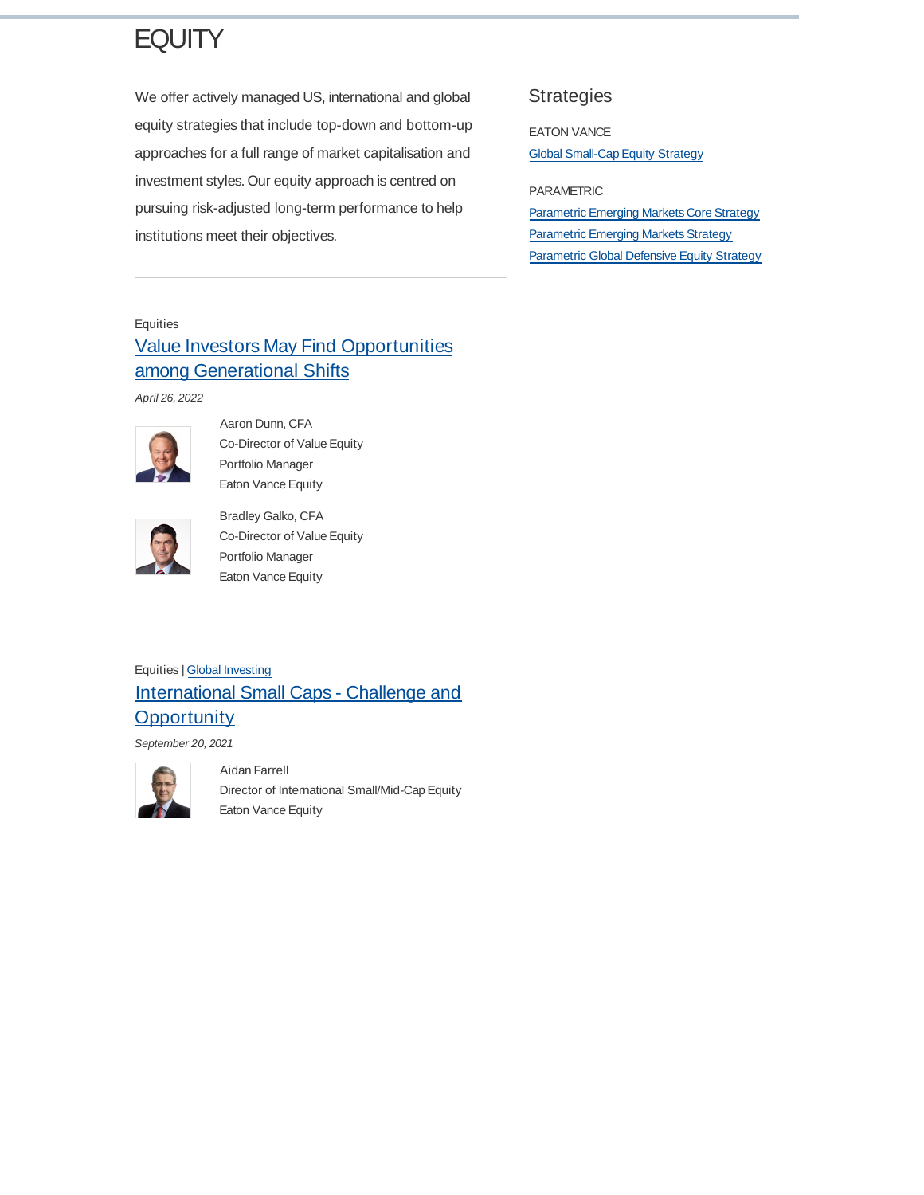# **EQUITY**

We offer actively managed US, international and global equity strategies that include top-down and bottom-up approaches for a full range of market capitalisation and investment styles. Our equity approach is centred on pursuing risk-adjusted long-term performance to help institutions meet their objectives.

#### **Strategies**

EATON VANCE Global Small-Cap Equity Strategy

PARAMETRIC Parametric Emerging Markets Core Strategy Parametric Emerging Markets Strategy **Parametric Global Defensive Equity Strategy** 

#### Equities

# Value Investors May Find Opportunities among Generational Shifts

April 26, 2022



Aaron Dunn, CFA Co-Director of Value Equity Portfolio Manager Eaton Vance Equity



Bradley Galko, CFA Co-Director of Value Equity Portfolio Manager Eaton Vance Equity

### Equities | Global Investing International Small Caps - Challenge and **Opportunity**

Aidan Farrell

September 20, 2021



Director of International Small/Mid-Cap Equity Eaton Vance Equity